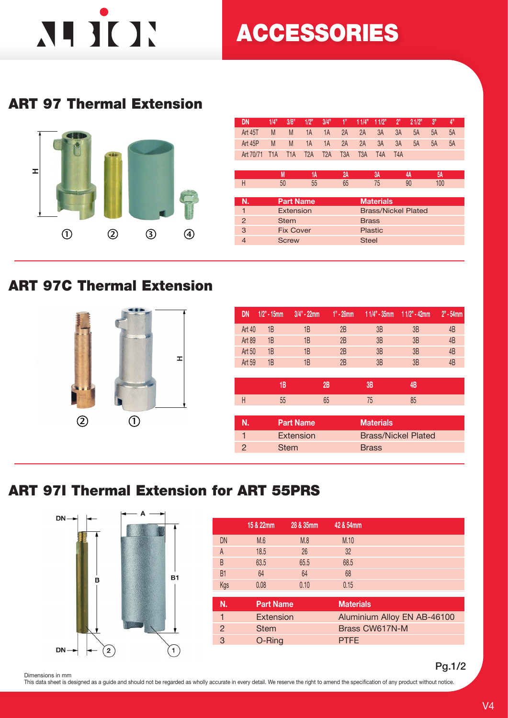# NIJUN

## ACCESSORIES

### ART 97 Thermal Extension



| <b>DN</b>      | 1/4"             | 3/8"             | 1/2"             | 3/4"             | 1"               | 11/4"            | 11/2"            | 2"               | 21/2"                      | 3"        | 4" |
|----------------|------------------|------------------|------------------|------------------|------------------|------------------|------------------|------------------|----------------------------|-----------|----|
| Art 45T        | M                | M                | 1A               | 1A               | 2A               | 2A               | 3A               | 3A               | 5A                         | 5A        | 5A |
| Art 45P        | M                | M                | 1A               | 1A               | 2A               | 2A               | 3A               | 3A               | 5A                         | 5A        | 5A |
| Art 70/71      | T <sub>1</sub> A | T <sub>1</sub> A | T <sub>2</sub> A | T <sub>2</sub> A | T <sub>3</sub> A | T <sub>3</sub> A | T <sub>4</sub> A | T <sub>4</sub> A |                            |           |    |
|                |                  |                  |                  |                  |                  |                  |                  |                  |                            |           |    |
|                |                  | M                | 1А               |                  | 2A               |                  | 3A               |                  | 4A                         | <b>5A</b> |    |
| Н              |                  | 50               | 55               |                  | 65               |                  | 75               |                  | 90                         | 100       |    |
|                |                  |                  |                  |                  |                  |                  |                  |                  |                            |           |    |
| N.             |                  | <b>Part Name</b> |                  |                  |                  |                  | <b>Materials</b> |                  |                            |           |    |
| $\overline{1}$ |                  | Extension        |                  |                  |                  |                  |                  |                  | <b>Brass/Nickel Plated</b> |           |    |
| $\mathcal{P}$  |                  | <b>Stem</b>      |                  |                  |                  | <b>Brass</b>     |                  |                  |                            |           |    |
| 3              |                  | <b>Fix Cover</b> |                  |                  |                  |                  | <b>Plastic</b>   |                  |                            |           |    |
| $\overline{4}$ |                  | <b>Screw</b>     |                  |                  |                  | <b>Steel</b>     |                  |                  |                            |           |    |
|                |                  |                  |                  |                  |                  |                  |                  |                  |                            |           |    |

#### ART 97C Thermal Extension



| DN     | $1/2" - 15mm$ | $3/4" - 22mm$    | $1" - 28$ mm | $11/4" - 35$ mm $11/2" - 42$ mm |                            | $2" - 54$ mm |
|--------|---------------|------------------|--------------|---------------------------------|----------------------------|--------------|
| Art 40 | 1B            | 1B               | 2B           | 3B                              | 3B                         | 4B           |
| Art 89 | 1B            | 1B               | 2B           | 3B                              | 3B                         | 4B           |
| Art 50 | 1B            | 1B               | 2B           | 3B                              | 3B                         | 4B           |
| Art 59 | 1B            | 1B               | 2B           | 3B                              | 3B                         | 4B           |
|        |               |                  |              |                                 |                            |              |
|        | 1B            |                  | 2B           | 3B                              | 4B                         |              |
| H      | 55            |                  | 65           | 75                              | 85                         |              |
|        |               |                  |              |                                 |                            |              |
| N.     |               | <b>Part Name</b> |              | <b>Materials</b>                |                            |              |
| 1      |               | <b>Extension</b> |              |                                 | <b>Brass/Nickel Plated</b> |              |
| 2      | <b>Stem</b>   |                  |              | <b>Brass</b>                    |                            |              |
|        |               |                  |              |                                 |                            |              |

### ART 97I Thermal Extension for ART 55PRS



|                | 15 & 22mm        | 28 & 35mm | 42 & 54mm                   |
|----------------|------------------|-----------|-----------------------------|
| DN             | M.6              | M.8       | M.10                        |
| A              | 18.5             | 26        | 32                          |
| B              | 63.5             | 65.5      | 68.5                        |
| B <sub>1</sub> | 64               | 64        | 68                          |
| Kgs            | 0.08             | 0.10      | 0.15                        |
|                |                  |           |                             |
| N.             | <b>Part Name</b> |           | <b>Materials</b>            |
| 1              | <b>Extension</b> |           | Aluminium Alloy EN AB-46100 |
| 2              | <b>Stem</b>      |           | Brass CW617N-M              |
| 3              | O-Ring           |           | <b>PTFE</b>                 |
|                |                  |           |                             |

Pg.1/2

Dimensions in mm This data sheet is designed as a guide and should not be regarded as wholly accurate in every detail. We reserve the right to amend the specification of any product without notice.